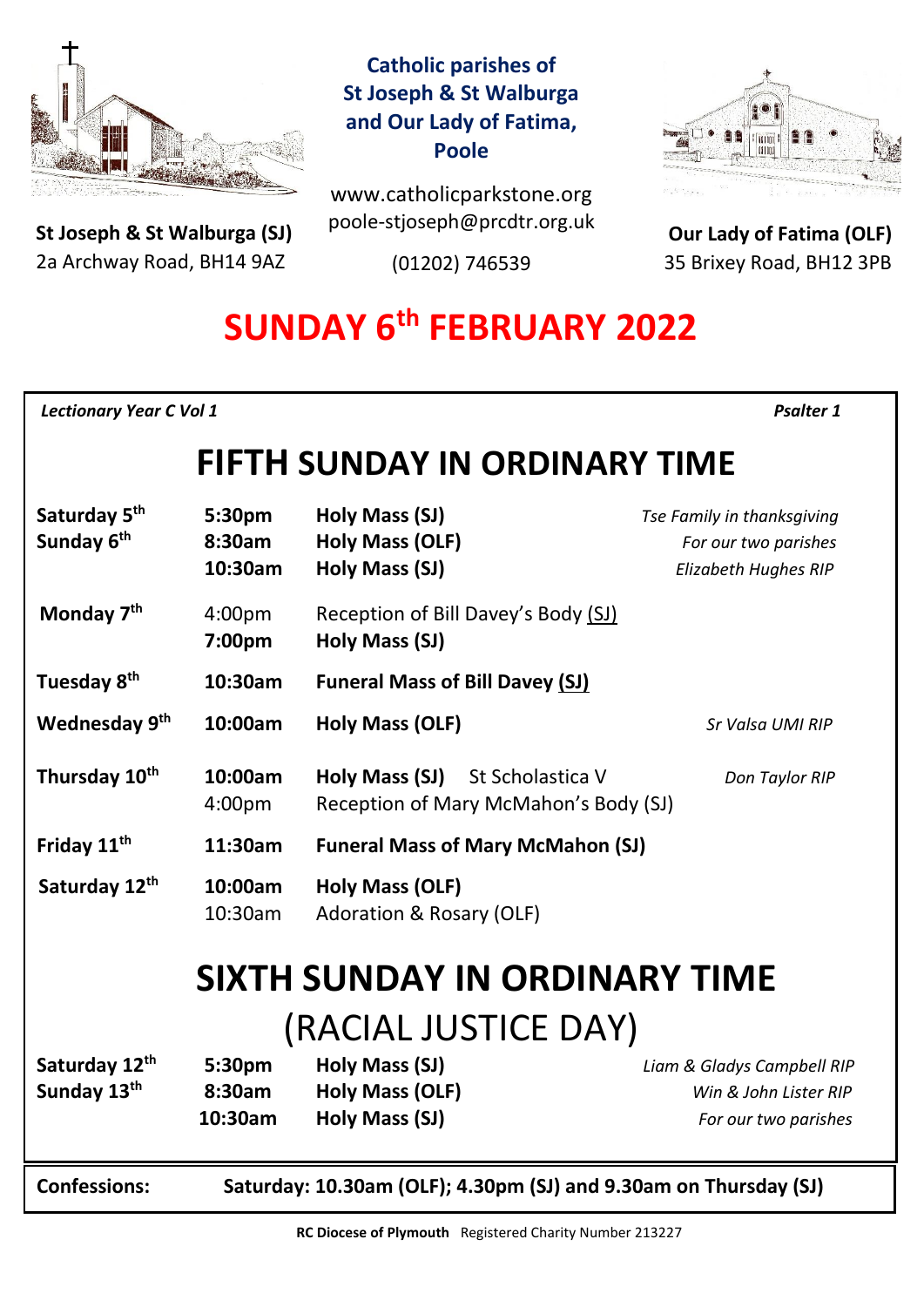

**St Joseph & St Walburga (SJ)** 2a Archway Road, BH14 9AZ 

## **Catholic parishes of St Joseph & St Walburga and Our Lady of Fatima, Poole**

www.catholicparkstone.org poole-stjoseph@prcdtr.org.uk

(01202) 746539



**Our Lady of Fatima (OLF)** 35 Brixey Road, BH12 3PB

# **SUNDAY 6 th FEBRUARY 2022**

*Lectionary Year C Vol 1**Psalter 1* 

## **FIFTH SUNDAY IN ORDINARY TIME**

| Saturday 5 <sup>th</sup><br>Sunday 6 <sup>th</sup> | 5:30pm<br>8:30am<br>10:30am                                      | Holy Mass (SJ)<br><b>Holy Mass (OLF)</b><br>Holy Mass (SJ)                  | Tse Family in thanksgiving<br>For our two parishes<br><b>Elizabeth Hughes RIP</b> |
|----------------------------------------------------|------------------------------------------------------------------|-----------------------------------------------------------------------------|-----------------------------------------------------------------------------------|
| Monday 7 <sup>th</sup>                             | 4:00pm<br>7:00pm                                                 | Reception of Bill Davey's Body (SJ)<br><b>Holy Mass (SJ)</b>                |                                                                                   |
| Tuesday 8 <sup>th</sup>                            | 10:30am                                                          | <b>Funeral Mass of Bill Davey (SJ)</b>                                      |                                                                                   |
| Wednesday 9th                                      | 10:00am                                                          | Holy Mass (OLF)                                                             | Sr Valsa UMI RIP                                                                  |
| Thursday 10 <sup>th</sup>                          | 10:00am<br>4:00 <sub>pm</sub>                                    | Holy Mass (SJ)<br>St Scholastica V<br>Reception of Mary McMahon's Body (SJ) | Don Taylor RIP                                                                    |
| Friday 11 <sup>th</sup>                            | 11:30am                                                          | <b>Funeral Mass of Mary McMahon (SJ)</b>                                    |                                                                                   |
| Saturday 12th                                      | 10:00am<br>10:30am                                               | Holy Mass (OLF)<br>Adoration & Rosary (OLF)                                 |                                                                                   |
| <b>SIXTH SUNDAY IN ORDINARY TIME</b>               |                                                                  |                                                                             |                                                                                   |
| (RACIAL JUSTICE DAY)                               |                                                                  |                                                                             |                                                                                   |
| Saturday 12th                                      | 5:30pm                                                           | Holy Mass (SJ)                                                              | Liam & Gladys Campbell RIP                                                        |
| Sunday 13th                                        | 8:30am                                                           | <b>Holy Mass (OLF)</b>                                                      | Win & John Lister RIP                                                             |
|                                                    | 10:30am                                                          | Holy Mass (SJ)                                                              | For our two parishes                                                              |
| <b>Confessions:</b>                                | Saturday: 10.30am (OLF); 4.30pm (SJ) and 9.30am on Thursday (SJ) |                                                                             |                                                                                   |